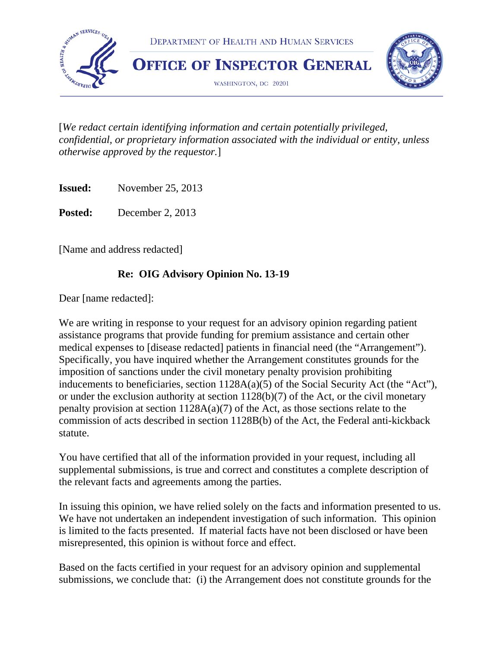

[*We redact certain identifying information and certain potentially privileged, confidential, or proprietary information associated with the individual or entity, unless otherwise approved by the requestor.*]

**Issued:** November 25, 2013

Posted: December 2, 2013

[Name and address redacted]

#### **Re: OIG Advisory Opinion No. 13-19**

Dear [name redacted]:

We are writing in response to your request for an advisory opinion regarding patient assistance programs that provide funding for premium assistance and certain other medical expenses to [disease redacted] patients in financial need (the "Arrangement"). Specifically, you have inquired whether the Arrangement constitutes grounds for the imposition of sanctions under the civil monetary penalty provision prohibiting inducements to beneficiaries, section 1128A(a)(5) of the Social Security Act (the "Act"), or under the exclusion authority at section 1128(b)(7) of the Act, or the civil monetary penalty provision at section  $1128A(a)(7)$  of the Act, as those sections relate to the commission of acts described in section 1128B(b) of the Act, the Federal anti-kickback statute.

You have certified that all of the information provided in your request, including all supplemental submissions, is true and correct and constitutes a complete description of the relevant facts and agreements among the parties.

In issuing this opinion, we have relied solely on the facts and information presented to us. We have not undertaken an independent investigation of such information. This opinion is limited to the facts presented. If material facts have not been disclosed or have been misrepresented, this opinion is without force and effect.

Based on the facts certified in your request for an advisory opinion and supplemental submissions, we conclude that: (i) the Arrangement does not constitute grounds for the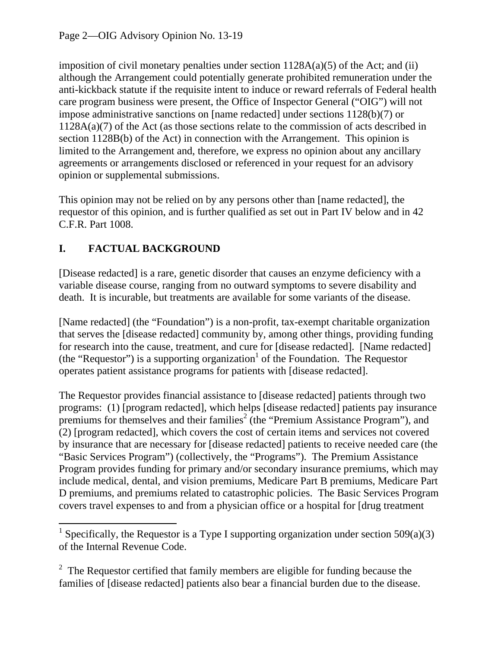imposition of civil monetary penalties under section  $1128A(a)(5)$  of the Act; and (ii) although the Arrangement could potentially generate prohibited remuneration under the anti-kickback statute if the requisite intent to induce or reward referrals of Federal health care program business were present, the Office of Inspector General ("OIG") will not impose administrative sanctions on [name redacted] under sections 1128(b)(7) or 1128A(a)(7) of the Act (as those sections relate to the commission of acts described in section 1128B(b) of the Act) in connection with the Arrangement. This opinion is limited to the Arrangement and, therefore, we express no opinion about any ancillary agreements or arrangements disclosed or referenced in your request for an advisory opinion or supplemental submissions.

This opinion may not be relied on by any persons other than [name redacted], the requestor of this opinion, and is further qualified as set out in Part IV below and in 42 C.F.R. Part 1008.

# **I. FACTUAL BACKGROUND**

[Disease redacted] is a rare, genetic disorder that causes an enzyme deficiency with a variable disease course, ranging from no outward symptoms to severe disability and death. It is incurable, but treatments are available for some variants of the disease.

[Name redacted] (the "Foundation") is a non-profit, tax-exempt charitable organization that serves the [disease redacted] community by, among other things, providing funding for research into the cause, treatment, and cure for [disease redacted]. [Name redacted] (the "Requestor") is a supporting organization<sup>1</sup> of the Foundation. The Requestor operates patient assistance programs for patients with [disease redacted].

The Requestor provides financial assistance to [disease redacted] patients through two programs: (1) [program redacted], which helps [disease redacted] patients pay insurance premiums for themselves and their families<sup>2</sup> (the "Premium Assistance Program"), and (2) [program redacted], which covers the cost of certain items and services not covered by insurance that are necessary for [disease redacted] patients to receive needed care (the "Basic Services Program") (collectively, the "Programs"). The Premium Assistance Program provides funding for primary and/or secondary insurance premiums, which may include medical, dental, and vision premiums, Medicare Part B premiums, Medicare Part D premiums, and premiums related to catastrophic policies. The Basic Services Program covers travel expenses to and from a physician office or a hospital for [drug treatment

<sup>&</sup>lt;sup>1</sup> Specifically, the Requestor is a Type I supporting organization under section 509(a)(3) of the Internal Revenue Code.

 $2$  The Requestor certified that family members are eligible for funding because the families of [disease redacted] patients also bear a financial burden due to the disease.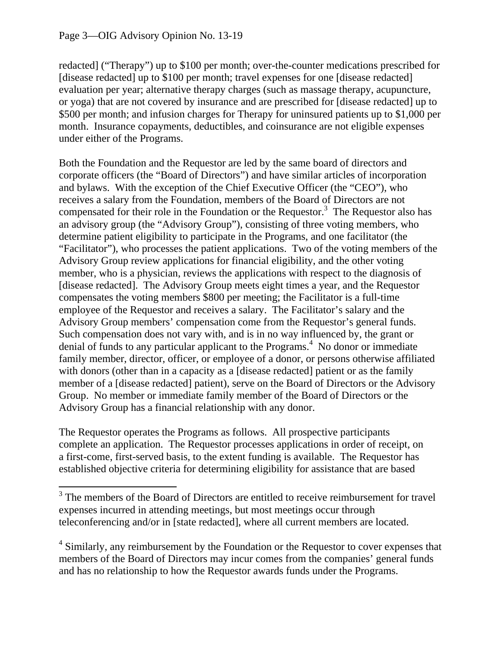redacted] ("Therapy") up to \$100 per month; over-the-counter medications prescribed for [disease redacted] up to \$100 per month; travel expenses for one [disease redacted] evaluation per year; alternative therapy charges (such as massage therapy, acupuncture, or yoga) that are not covered by insurance and are prescribed for [disease redacted] up to \$500 per month; and infusion charges for Therapy for uninsured patients up to \$1,000 per month. Insurance copayments, deductibles, and coinsurance are not eligible expenses under either of the Programs.

Both the Foundation and the Requestor are led by the same board of directors and corporate officers (the "Board of Directors") and have similar articles of incorporation and bylaws. With the exception of the Chief Executive Officer (the "CEO"), who receives a salary from the Foundation, members of the Board of Directors are not compensated for their role in the Foundation or the Requestor.<sup>3</sup> The Requestor also has an advisory group (the "Advisory Group"), consisting of three voting members, who determine patient eligibility to participate in the Programs, and one facilitator (the "Facilitator"), who processes the patient applications. Two of the voting members of the Advisory Group review applications for financial eligibility, and the other voting member, who is a physician, reviews the applications with respect to the diagnosis of [disease redacted]. The Advisory Group meets eight times a year, and the Requestor compensates the voting members \$800 per meeting; the Facilitator is a full-time employee of the Requestor and receives a salary. The Facilitator's salary and the Advisory Group members' compensation come from the Requestor's general funds. Such compensation does not vary with, and is in no way influenced by, the grant or denial of funds to any particular applicant to the Programs.<sup>4</sup> No donor or immediate family member, director, officer, or employee of a donor, or persons otherwise affiliated with donors (other than in a capacity as a [disease redacted] patient or as the family member of a [disease redacted] patient), serve on the Board of Directors or the Advisory Group. No member or immediate family member of the Board of Directors or the Advisory Group has a financial relationship with any donor.

The Requestor operates the Programs as follows. All prospective participants complete an application. The Requestor processes applications in order of receipt, on a first-come, first-served basis, to the extent funding is available. The Requestor has established objective criteria for determining eligibility for assistance that are based

 $3$  The members of the Board of Directors are entitled to receive reimbursement for travel expenses incurred in attending meetings, but most meetings occur through teleconferencing and/or in [state redacted], where all current members are located.

<sup>&</sup>lt;sup>4</sup> Similarly, any reimbursement by the Foundation or the Requestor to cover expenses that members of the Board of Directors may incur comes from the companies' general funds and has no relationship to how the Requestor awards funds under the Programs.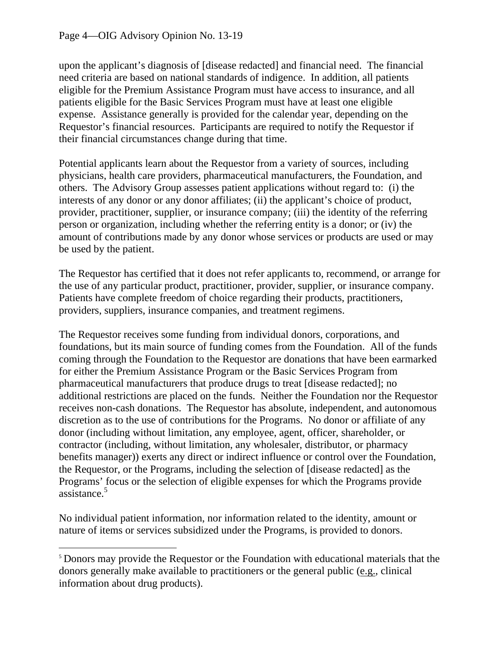upon the applicant's diagnosis of [disease redacted] and financial need. The financial need criteria are based on national standards of indigence. In addition, all patients eligible for the Premium Assistance Program must have access to insurance, and all patients eligible for the Basic Services Program must have at least one eligible expense. Assistance generally is provided for the calendar year, depending on the Requestor's financial resources. Participants are required to notify the Requestor if their financial circumstances change during that time.

Potential applicants learn about the Requestor from a variety of sources, including physicians, health care providers, pharmaceutical manufacturers, the Foundation, and others. The Advisory Group assesses patient applications without regard to: (i) the interests of any donor or any donor affiliates; (ii) the applicant's choice of product, provider, practitioner, supplier, or insurance company; (iii) the identity of the referring person or organization, including whether the referring entity is a donor; or (iv) the amount of contributions made by any donor whose services or products are used or may be used by the patient.

The Requestor has certified that it does not refer applicants to, recommend, or arrange for the use of any particular product, practitioner, provider, supplier, or insurance company. Patients have complete freedom of choice regarding their products, practitioners, providers, suppliers, insurance companies, and treatment regimens.

assistance.<sup>5</sup> The Requestor receives some funding from individual donors, corporations, and foundations, but its main source of funding comes from the Foundation. All of the funds coming through the Foundation to the Requestor are donations that have been earmarked for either the Premium Assistance Program or the Basic Services Program from pharmaceutical manufacturers that produce drugs to treat [disease redacted]; no additional restrictions are placed on the funds. Neither the Foundation nor the Requestor receives non-cash donations. The Requestor has absolute, independent, and autonomous discretion as to the use of contributions for the Programs. No donor or affiliate of any donor (including without limitation, any employee, agent, officer, shareholder, or contractor (including, without limitation, any wholesaler, distributor, or pharmacy benefits manager)) exerts any direct or indirect influence or control over the Foundation, the Requestor, or the Programs, including the selection of [disease redacted] as the Programs' focus or the selection of eligible expenses for which the Programs provide

No individual patient information, nor information related to the identity, amount or nature of items or services subsidized under the Programs, is provided to donors.

<sup>&</sup>lt;sup>5</sup> Donors may provide the Requestor or the Foundation with educational materials that the donors generally make available to practitioners or the general public (e.g., clinical information about drug products).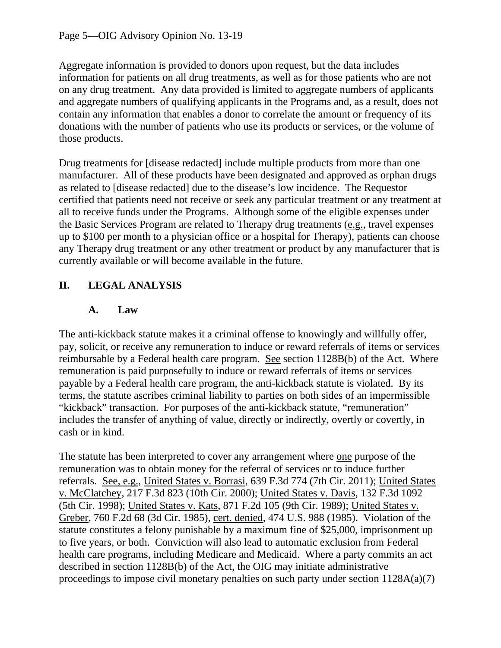Aggregate information is provided to donors upon request, but the data includes information for patients on all drug treatments, as well as for those patients who are not on any drug treatment. Any data provided is limited to aggregate numbers of applicants and aggregate numbers of qualifying applicants in the Programs and, as a result, does not contain any information that enables a donor to correlate the amount or frequency of its donations with the number of patients who use its products or services, or the volume of those products.

Drug treatments for [disease redacted] include multiple products from more than one manufacturer. All of these products have been designated and approved as orphan drugs as related to [disease redacted] due to the disease's low incidence. The Requestor certified that patients need not receive or seek any particular treatment or any treatment at all to receive funds under the Programs. Although some of the eligible expenses under the Basic Services Program are related to Therapy drug treatments (e.g., travel expenses up to \$100 per month to a physician office or a hospital for Therapy), patients can choose any Therapy drug treatment or any other treatment or product by any manufacturer that is currently available or will become available in the future.

# **II. LEGAL ANALYSIS**

#### **A. Law**

The anti-kickback statute makes it a criminal offense to knowingly and willfully offer, pay, solicit, or receive any remuneration to induce or reward referrals of items or services reimbursable by a Federal health care program. See section 1128B(b) of the Act. Where remuneration is paid purposefully to induce or reward referrals of items or services payable by a Federal health care program, the anti-kickback statute is violated. By its terms, the statute ascribes criminal liability to parties on both sides of an impermissible "kickback" transaction. For purposes of the anti-kickback statute, "remuneration" includes the transfer of anything of value, directly or indirectly, overtly or covertly, in cash or in kind.

The statute has been interpreted to cover any arrangement where one purpose of the remuneration was to obtain money for the referral of services or to induce further referrals. See, e.g., United States v. Borrasi, 639 F.3d 774 (7th Cir. 2011); United States v. McClatchey, 217 F.3d 823 (10th Cir. 2000); United States v. Davis, 132 F.3d 1092 (5th Cir. 1998); United States v. Kats, 871 F.2d 105 (9th Cir. 1989); United States v. Greber, 760 F.2d 68 (3d Cir. 1985), cert. denied, 474 U.S. 988 (1985). Violation of the statute constitutes a felony punishable by a maximum fine of \$25,000, imprisonment up to five years, or both. Conviction will also lead to automatic exclusion from Federal health care programs, including Medicare and Medicaid. Where a party commits an act described in section 1128B(b) of the Act, the OIG may initiate administrative proceedings to impose civil monetary penalties on such party under section 1128A(a)(7)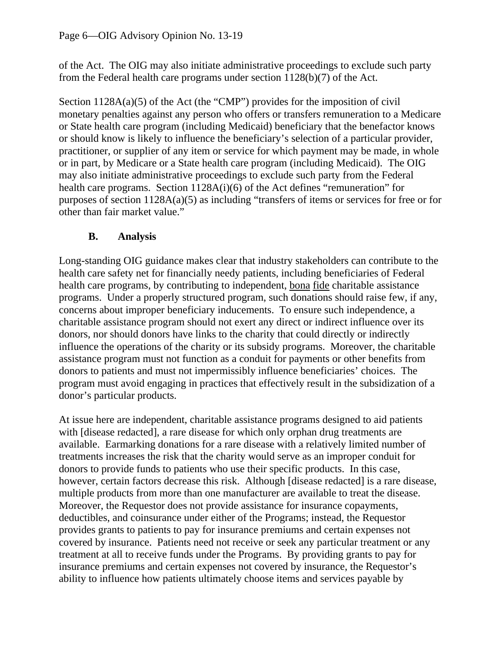of the Act. The OIG may also initiate administrative proceedings to exclude such party from the Federal health care programs under section 1128(b)(7) of the Act.

Section  $1128A(a)(5)$  of the Act (the "CMP") provides for the imposition of civil monetary penalties against any person who offers or transfers remuneration to a Medicare or State health care program (including Medicaid) beneficiary that the benefactor knows or should know is likely to influence the beneficiary's selection of a particular provider, practitioner, or supplier of any item or service for which payment may be made, in whole or in part, by Medicare or a State health care program (including Medicaid). The OIG may also initiate administrative proceedings to exclude such party from the Federal health care programs. Section 1128A(i)(6) of the Act defines "remuneration" for purposes of section 1128A(a)(5) as including "transfers of items or services for free or for other than fair market value."

### **B. Analysis**

Long-standing OIG guidance makes clear that industry stakeholders can contribute to the health care safety net for financially needy patients, including beneficiaries of Federal health care programs, by contributing to independent, bona fide charitable assistance programs. Under a properly structured program, such donations should raise few, if any, concerns about improper beneficiary inducements. To ensure such independence, a charitable assistance program should not exert any direct or indirect influence over its donors, nor should donors have links to the charity that could directly or indirectly influence the operations of the charity or its subsidy programs. Moreover, the charitable assistance program must not function as a conduit for payments or other benefits from donors to patients and must not impermissibly influence beneficiaries' choices. The program must avoid engaging in practices that effectively result in the subsidization of a donor's particular products.

At issue here are independent, charitable assistance programs designed to aid patients with [disease redacted], a rare disease for which only orphan drug treatments are available. Earmarking donations for a rare disease with a relatively limited number of treatments increases the risk that the charity would serve as an improper conduit for donors to provide funds to patients who use their specific products. In this case, however, certain factors decrease this risk. Although [disease redacted] is a rare disease, multiple products from more than one manufacturer are available to treat the disease. Moreover, the Requestor does not provide assistance for insurance copayments, deductibles, and coinsurance under either of the Programs; instead, the Requestor provides grants to patients to pay for insurance premiums and certain expenses not covered by insurance. Patients need not receive or seek any particular treatment or any treatment at all to receive funds under the Programs. By providing grants to pay for insurance premiums and certain expenses not covered by insurance, the Requestor's ability to influence how patients ultimately choose items and services payable by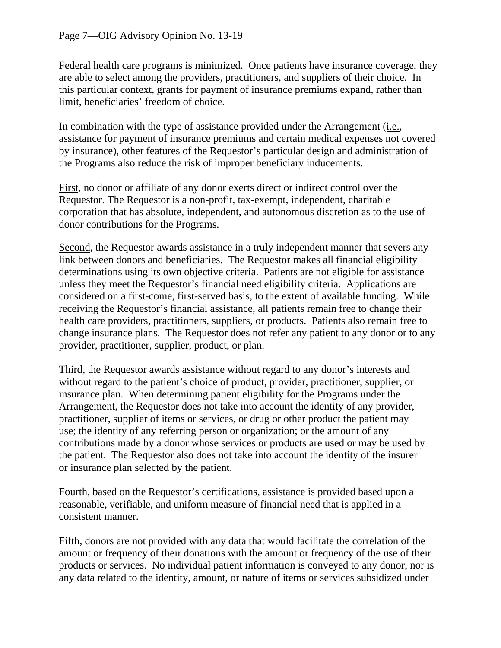Federal health care programs is minimized. Once patients have insurance coverage, they are able to select among the providers, practitioners, and suppliers of their choice. In this particular context, grants for payment of insurance premiums expand, rather than limit, beneficiaries' freedom of choice.

In combination with the type of assistance provided under the Arrangement (i.e., assistance for payment of insurance premiums and certain medical expenses not covered by insurance), other features of the Requestor's particular design and administration of the Programs also reduce the risk of improper beneficiary inducements.

First, no donor or affiliate of any donor exerts direct or indirect control over the Requestor. The Requestor is a non-profit, tax-exempt, independent, charitable corporation that has absolute, independent, and autonomous discretion as to the use of donor contributions for the Programs.

Second, the Requestor awards assistance in a truly independent manner that severs any link between donors and beneficiaries. The Requestor makes all financial eligibility determinations using its own objective criteria. Patients are not eligible for assistance unless they meet the Requestor's financial need eligibility criteria. Applications are considered on a first-come, first-served basis, to the extent of available funding. While receiving the Requestor's financial assistance, all patients remain free to change their health care providers, practitioners, suppliers, or products. Patients also remain free to change insurance plans. The Requestor does not refer any patient to any donor or to any provider, practitioner, supplier, product, or plan.

Third, the Requestor awards assistance without regard to any donor's interests and without regard to the patient's choice of product, provider, practitioner, supplier, or insurance plan. When determining patient eligibility for the Programs under the Arrangement, the Requestor does not take into account the identity of any provider, practitioner, supplier of items or services, or drug or other product the patient may use; the identity of any referring person or organization; or the amount of any contributions made by a donor whose services or products are used or may be used by the patient. The Requestor also does not take into account the identity of the insurer or insurance plan selected by the patient.

Fourth, based on the Requestor's certifications, assistance is provided based upon a reasonable, verifiable, and uniform measure of financial need that is applied in a consistent manner.

Fifth, donors are not provided with any data that would facilitate the correlation of the amount or frequency of their donations with the amount or frequency of the use of their products or services. No individual patient information is conveyed to any donor, nor is any data related to the identity, amount, or nature of items or services subsidized under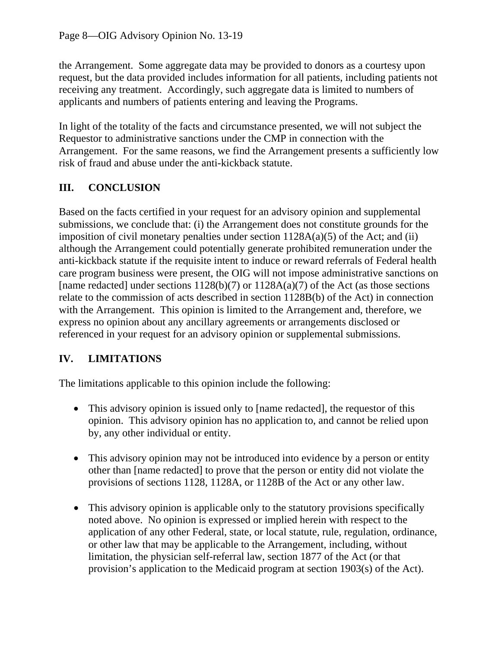the Arrangement. Some aggregate data may be provided to donors as a courtesy upon request, but the data provided includes information for all patients, including patients not receiving any treatment. Accordingly, such aggregate data is limited to numbers of applicants and numbers of patients entering and leaving the Programs.

In light of the totality of the facts and circumstance presented, we will not subject the Requestor to administrative sanctions under the CMP in connection with the Arrangement. For the same reasons, we find the Arrangement presents a sufficiently low risk of fraud and abuse under the anti-kickback statute.

# **III. CONCLUSION**

Based on the facts certified in your request for an advisory opinion and supplemental submissions, we conclude that: (i) the Arrangement does not constitute grounds for the imposition of civil monetary penalties under section  $1128A(a)(5)$  of the Act; and (ii) although the Arrangement could potentially generate prohibited remuneration under the anti-kickback statute if the requisite intent to induce or reward referrals of Federal health care program business were present, the OIG will not impose administrative sanctions on [name redacted] under sections  $1128(b)(7)$  or  $1128A(a)(7)$  of the Act (as those sections relate to the commission of acts described in section 1128B(b) of the Act) in connection with the Arrangement. This opinion is limited to the Arrangement and, therefore, we express no opinion about any ancillary agreements or arrangements disclosed or referenced in your request for an advisory opinion or supplemental submissions.

### **IV. LIMITATIONS**

The limitations applicable to this opinion include the following:

- This advisory opinion is issued only to [name redacted], the requestor of this opinion. This advisory opinion has no application to, and cannot be relied upon by, any other individual or entity.
- This advisory opinion may not be introduced into evidence by a person or entity other than [name redacted] to prove that the person or entity did not violate the provisions of sections 1128, 1128A, or 1128B of the Act or any other law.
- This advisory opinion is applicable only to the statutory provisions specifically noted above. No opinion is expressed or implied herein with respect to the application of any other Federal, state, or local statute, rule, regulation, ordinance, or other law that may be applicable to the Arrangement, including, without limitation, the physician self-referral law, section 1877 of the Act (or that provision's application to the Medicaid program at section 1903(s) of the Act).